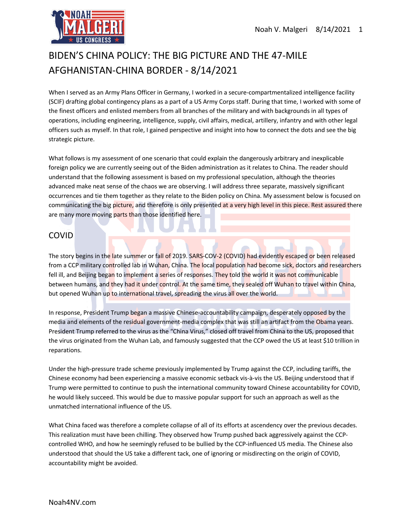

# BIDEN'S CHINA POLICY: THE BIG PICTURE AND THE 47-MILE AFGHANISTAN-CHINA BORDER - 8/14/2021

When I served as an Army Plans Officer in Germany, I worked in a secure-compartmentalized intelligence facility (SCIF) drafting global contingency plans as a part of a US Army Corps staff. During that time, I worked with some of the finest officers and enlisted members from all branches of the military and with backgrounds in all types of operations, including engineering, intelligence, supply, civil affairs, medical, artillery, infantry and with other legal officers such as myself. In that role, I gained perspective and insight into how to connect the dots and see the big strategic picture.

What follows is my assessment of one scenario that could explain the dangerously arbitrary and inexplicable foreign policy we are currently seeing out of the Biden administration as it relates to China. The reader should understand that the following assessment is based on my professional speculation, although the theories advanced make neat sense of the chaos we are observing. I will address three separate, massively significant occurrences and tie them together as they relate to the Biden policy on China. My assessment below is focused on communicating the big picture, and therefore is only presented at a very high level in this piece. Rest assured there are many more moving parts than those identified here.

# COVID

The story begins in the late summer or fall of 2019. SARS-COV-2 (COVID) had evidently escaped or been released from a CCP military controlled lab in Wuhan, China. The local population had become sick, doctors and researchers fell ill, and Beijing began to implement a series of responses. They told the world it was not communicable between humans, and they had it under control. At the same time, they sealed off Wuhan to travel within China, but opened Wuhan up to international travel, spreading the virus all over the world.

In response, President Trump began a massive Chinese-accountability campaign, desperately opposed by the media and elements of the residual government-media complex that was still an artifact from the Obama years. President Trump referred to the virus as the "China Virus," closed off travel from China to the US, proposed that the virus originated from the Wuhan Lab, and famously suggested that the CCP owed the US at least \$10 trillion in reparations.

Under the high-pressure trade scheme previously implemented by Trump against the CCP, including tariffs, the Chinese economy had been experiencing a massive economic setback vis-à-vis the US. Beijing understood that if Trump were permitted to continue to push the international community toward Chinese accountability for COVID, he would likely succeed. This would be due to massive popular support for such an approach as well as the unmatched international influence of the US.

What China faced was therefore a complete collapse of all of its efforts at ascendency over the previous decades. This realization must have been chilling. They observed how Trump pushed back aggressively against the CCPcontrolled WHO, and how he seemingly refused to be bullied by the CCP-influenced US media. The Chinese also understood that should the US take a different tack, one of ignoring or misdirecting on the origin of COVID, accountability might be avoided.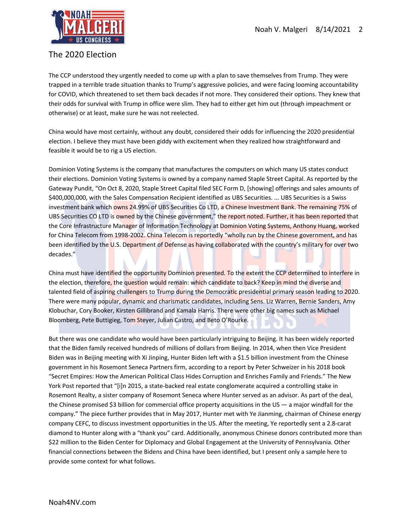

### The 2020 Election

The CCP understood they urgently needed to come up with a plan to save themselves from Trump. They were trapped in a terrible trade situation thanks to Trump's aggressive policies, and were facing looming accountability for COVID, which threatened to set them back decades if not more. They considered their options. They knew that their odds for survival with Trump in office were slim. They had to either get him out (through impeachment or otherwise) or at least, make sure he was not reelected.

China would have most certainly, without any doubt, considered their odds for influencing the 2020 presidential election. I believe they must have been giddy with excitement when they realized how straightforward and feasible it would be to rig a US election.

Dominion Voting Systems is the company that manufactures the computers on which many US states conduct their elections. Dominion Voting Systems is owned by a company named Staple Street Capital. As reported by the Gateway Pundit, "On Oct 8, 2020, Staple Street Capital filed SEC Form D, [showing] offerings and sales amounts of \$400,000,000, with the Sales Compensation Recipient identified as UBS Securities. ... UBS Securities is a Swiss investment bank which owns 24.99% of UBS Securities Co LTD, a Chinese Investment Bank. The remaining 75% of UBS Securities CO LTD is owned by the Chinese government," the report noted. Further, it has been reported that the Core Infrastructure Manager of Information Technology at Dominion Voting Systems, Anthony Huang, worked for China Telecom from 1998-2002. China Telecom is reportedly "wholly run by the Chinese government, and has been identified by the U.S. Department of Defense as having collaborated with the country's military for over two decades."

China must have identified the opportunity Dominion presented. To the extent the CCP determined to interfere in the election, therefore, the question would remain: which candidate to back? Keep in mind the diverse and talented field of aspiring challengers to Trump during the Democratic presidential primary season leading to 2020. There were many popular, dynamic and charismatic candidates, including Sens. Liz Warren, Bernie Sanders, Amy Klobuchar, Cory Booker, Kirsten Gillibrand and Kamala Harris. There were other big names such as Michael Bloomberg, Pete Buttigieg, Tom Steyer, Julian Castro, and Beto O'Rourke.

But there was one candidate who would have been particularly intriguing to Beijing. It has been widely reported that the Biden family received hundreds of millions of dollars from Beijing. In 2014, when then Vice President Biden was in Beijing meeting with Xi Jinping, Hunter Biden left with a \$1.5 billion investment from the Chinese government in his Rosemont Seneca Partners firm, according to a report by Peter Schweizer in his 2018 book "Secret Empires: How the American Political Class Hides Corruption and Enriches Family and Friends." The New York Post reported that "[i]n 2015, a state-backed real estate conglomerate acquired a controlling stake in Rosemont Realty, a sister company of Rosemont Seneca where Hunter served as an advisor. As part of the deal, the Chinese promised \$3 billion for commercial office property acquisitions in the US — a major windfall for the company." The piece further provides that in May 2017, Hunter met with Ye Jianming, chairman of Chinese energy company CEFC, to discuss investment opportunities in the US. After the meeting, Ye reportedly sent a 2.8-carat diamond to Hunter along with a "thank you" card. Additionally, anonymous Chinese donors contributed more than \$22 million to the Biden Center for Diplomacy and Global Engagement at the University of Pennsylvania. Other financial connections between the Bidens and China have been identified, but I present only a sample here to provide some context for what follows.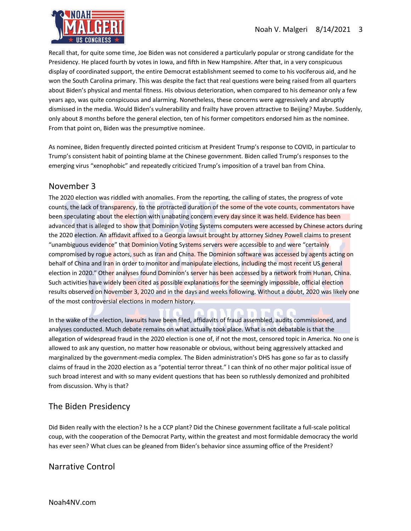

Recall that, for quite some time, Joe Biden was not considered a particularly popular or strong candidate for the Presidency. He placed fourth by votes in Iowa, and fifth in New Hampshire. After that, in a very conspicuous display of coordinated support, the entire Democrat establishment seemed to come to his vociferous aid, and he won the South Carolina primary. This was despite the fact that real questions were being raised from all quarters about Biden's physical and mental fitness. His obvious deterioration, when compared to his demeanor only a few years ago, was quite conspicuous and alarming. Nonetheless, these concerns were aggressively and abruptly dismissed in the media. Would Biden's vulnerability and frailty have proven attractive to Beijing? Maybe. Suddenly, only about 8 months before the general election, ten of his former competitors endorsed him as the nominee. From that point on, Biden was the presumptive nominee.

As nominee, Biden frequently directed pointed criticism at President Trump's response to COVID, in particular to Trump's consistent habit of pointing blame at the Chinese government. Biden called Trump's responses to the emerging virus "xenophobic" and repeatedly criticized Trump's imposition of a travel ban from China.

#### November 3

The 2020 election was riddled with anomalies. From the reporting, the calling of states, the progress of vote counts, the lack of transparency, to the protracted duration of the some of the vote counts, commentators have been speculating about the election with unabating concern every day since it was held. Evidence has been advanced that is alleged to show that Dominion Voting Systems computers were accessed by Chinese actors during the 2020 election. An affidavit affixed to a Georgia lawsuit brought by attorney Sidney Powell claims to present "unambiguous evidence" that Dominion Voting Systems servers were accessible to and were "certainly compromised by rogue actors, such as Iran and China. The Dominion software was accessed by agents acting on behalf of China and Iran in order to monitor and manipulate elections, including the most recent US general election in 2020." Other analyses found Dominion's server has been accessed by a network from Hunan, China. Such activities have widely been cited as possible explanations for the seemingly impossible, official election results observed on November 3, 2020 and in the days and weeks following. Without a doubt, 2020 was likely one of the most controversial elections in modern history.

In the wake of the election, lawsuits have been filed, affidavits of fraud assembled, audits commissioned, and analyses conducted. Much debate remains on what actually took place. What is not debatable is that the allegation of widespread fraud in the 2020 election is one of, if not the most, censored topic in America. No one is allowed to ask any question, no matter how reasonable or obvious, without being aggressively attacked and marginalized by the government-media complex. The Biden administration's DHS has gone so far as to classify claims of fraud in the 2020 election as a "potential terror threat." I can think of no other major political issue of such broad interest and with so many evident questions that has been so ruthlessly demonized and prohibited from discussion. Why is that?

n

## The Biden Presidency

Did Biden really with the election? Is he a CCP plant? Did the Chinese government facilitate a full-scale political coup, with the cooperation of the Democrat Party, within the greatest and most formidable democracy the world has ever seen? What clues can be gleaned from Biden's behavior since assuming office of the President?

#### Narrative Control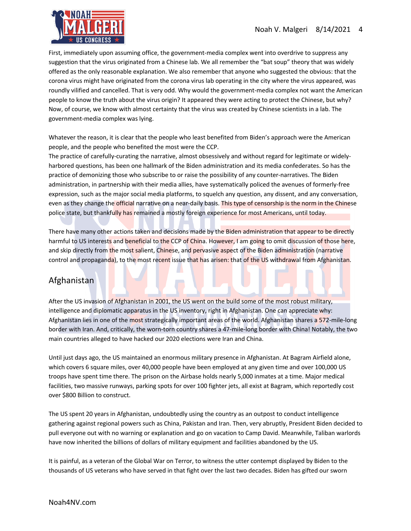

First, immediately upon assuming office, the government-media complex went into overdrive to suppress any suggestion that the virus originated from a Chinese lab. We all remember the "bat soup" theory that was widely offered as the only reasonable explanation. We also remember that anyone who suggested the obvious: that the corona virus might have originated from the corona virus lab operating in the city where the virus appeared, was roundly vilified and cancelled. That is very odd. Why would the government-media complex not want the American people to know the truth about the virus origin? It appeared they were acting to protect the Chinese, but why? Now, of course, we know with almost certainty that the virus was created by Chinese scientists in a lab. The government-media complex was lying.

Whatever the reason, it is clear that the people who least benefited from Biden's approach were the American people, and the people who benefited the most were the CCP.

The practice of carefully-curating the narrative, almost obsessively and without regard for legitimate or widelyharbored questions, has been one hallmark of the Biden administration and its media confederates. So has the practice of demonizing those who subscribe to or raise the possibility of any counter-narratives. The Biden administration, in partnership with their media allies, have systematically policed the avenues of formerly-free expression, such as the major social media platforms, to squelch any question, any dissent, and any conversation, even as they change the official narrative on a near-daily basis. This type of censorship is the norm in the Chinese police state, but thankfully has remained a mostly foreign experience for most Americans, until today.

There have many other actions taken and decisions made by the Biden administration that appear to be directly harmful to US interests and beneficial to the CCP of China. However, I am going to omit discussion of those here, and skip directly from the most salient, Chinese, and pervasive aspect of the Biden administration (narrative control and propaganda), to the most recent issue that has arisen: that of the US withdrawal from Afghanistan.

# Afghanistan

After the US invasion of Afghanistan in 2001, the US went on the build some of the most robust military, intelligence and diplomatic apparatus in the US inventory, right in Afghanistan. One can appreciate why: Afghanistan lies in one of the most strategically important areas of the world. Afghanistan shares a 572-mile-long border with Iran. And, critically, the worn-torn country shares a 47-mile-long border with China! Notably, the two main countries alleged to have hacked our 2020 elections were Iran and China.

Until just days ago, the US maintained an enormous military presence in Afghanistan. At Bagram Airfield alone, which covers 6 square miles, over 40,000 people have been employed at any given time and over 100,000 US troops have spent time there. The prison on the Airbase holds nearly 5,000 inmates at a time. Major medical facilities, two massive runways, parking spots for over 100 fighter jets, all exist at Bagram, which reportedly cost over \$800 Billion to construct.

The US spent 20 years in Afghanistan, undoubtedly using the country as an outpost to conduct intelligence gathering against regional powers such as China, Pakistan and Iran. Then, very abruptly, President Biden decided to pull everyone out with no warning or explanation and go on vacation to Camp David. Meanwhile, Taliban warlords have now inherited the billions of dollars of military equipment and facilities abandoned by the US.

It is painful, as a veteran of the Global War on Terror, to witness the utter contempt displayed by Biden to the thousands of US veterans who have served in that fight over the last two decades. Biden has gifted our sworn